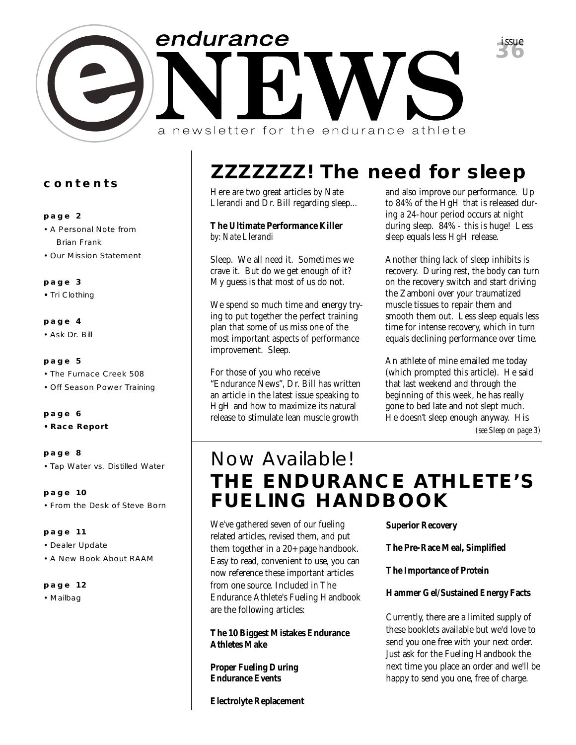

### **contents**

### **page 2**

- A Personal Note from Brian Frank
- Our Mission Statement

### **page 3**

**•** Tri Clothing

### **page 4**

• Ask Dr. Bill

### **page 5**

- The Furnace Creek 508
- Off Season Power Training

### **page 6**

**• Race Report**

### **page 8**

• Tap Water vs. Distilled Water

**page 10** • From the Desk of Steve Born

### **page 11**

- Dealer Update
- A New Book About RAAM

### **page 12**

• Mailbag

# **ZZZZZZZ! The need for sleep**

Here are two great articles by Nate Llerandi and Dr. Bill regarding sleep...

### **The Ultimate Performance Killer** *by: Nate Llerandi*

Sleep. We all need it. Sometimes we crave it. But do we get enough of it? My guess is that most of us do not.

We spend so much time and energy trying to put together the perfect training plan that some of us miss one of the most important aspects of performance improvement. Sleep.

For those of you who receive "Endurance News", Dr. Bill has written an article in the latest issue speaking to HgH and how to maximize its natural release to stimulate lean muscle growth

and also improve our performance. Up to 84% of the HgH that is released during a 24-hour period occurs at night during sleep. 84% - this is huge! Less sleep equals less HgH release.

Another thing lack of sleep inhibits is recovery. During rest, the body can turn on the recovery switch and start driving the Zamboni over your traumatized muscle tissues to repair them and smooth them out. Less sleep equals less time for intense recovery, which in turn equals declining performance over time.

An athlete of mine emailed me today (which prompted this article). He said that last weekend and through the beginning of this week, he has really gone to bed late and not slept much. He doesn't sleep enough anyway. His

*(see Sleep on page 3)*

### **THE ENDURANCE ATHLETE'S FUELING HANDBOOK** *Now Available!*

We've gathered seven of our fueling related articles, revised them, and put them together in a 20+ page handbook. Easy to read, convenient to use, you can now reference these important articles from one source. Included in The Endurance Athlete's Fueling Handbook are the following articles:

**The 10 Biggest Mistakes Endurance Athletes Make** 

**Proper Fueling During Endurance Events** 

**Electrolyte Replacement** 

**Superior Recovery** 

**The Pre-Race Meal, Simplified** 

**The Importance of Protein** 

**Hammer Gel/Sustained Energy Facts**

Currently, there are a limited supply of these booklets available but we'd love to send you one free with your next order. Just ask for the Fueling Handbook the next time you place an order and we'll be happy to send you one, free of charge.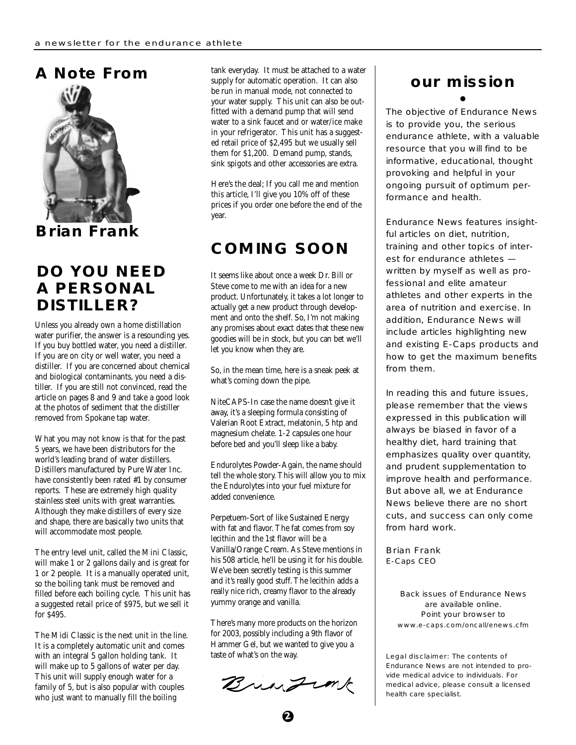

**Brian Frank**

### **DO YOU NEED A PERSONAL DISTILLER?**

Unless you already own a home distillation water purifier, the answer is a resounding yes. If you buy bottled water, you need a distiller. If you are on city or well water, you need a distiller. If you are concerned about chemical and biological contaminants, you need a distiller. If you are still not convinced, read the article on pages 8 and 9 and take a good look at the photos of sediment that the distiller removed from Spokane tap water.

What you may not know is that for the past 5 years, we have been distributors for the world's leading brand of water distillers. Distillers manufactured by Pure Water Inc. have consistently been rated #1 by consumer reports. These are extremely high quality stainless steel units with great warranties. Although they make distillers of every size and shape, there are basically two units that will accommodate most people.

The entry level unit, called the Mini Classic, will make 1 or 2 gallons daily and is great for 1 or 2 people. It is a manually operated unit, so the boiling tank must be removed and filled before each boiling cycle. This unit has a suggested retail price of \$975, but we sell it for \$495.

The Midi Classic is the next unit in the line. It is a completely automatic unit and comes with an integral 5 gallon holding tank. It will make up to 5 gallons of water per day. This unit will supply enough water for a family of 5, but is also popular with couples who just want to manually fill the boiling

tank everyday. It must be attached to a water supply for automatic operation. It can also be run in manual mode, not connected to your water supply. This unit can also be outfitted with a demand pump that will send water to a sink faucet and or water/ice make in your refrigerator. This unit has a suggested retail price of \$2,495 but we usually sell them for \$1,200. Demand pump, stands, sink spigots and other accessories are extra.

Here's the deal; If you call me and mention this article, I'll give you 10% off of these prices if you order one before the end of the year.

### **COMING SOON**

It seems like about once a week Dr. Bill or Steve come to me with an idea for a new product. Unfortunately, it takes a lot longer to actually get a new product through development and onto the shelf. So, I'm not making any promises about exact dates that these new goodies will be in stock, but you can bet we'll let you know when they are.

So, in the mean time, here is a sneak peek at what's coming down the pipe.

NiteCAPS-In case the name doesn't give it away, it's a sleeping formula consisting of Valerian Root Extract, melatonin, 5 htp and magnesium chelate. 1-2 capsules one hour before bed and you'll sleep like a baby.

Endurolytes Powder-Again, the name should tell the whole story. This will allow you to mix the Endurolytes into your fuel mixture for added convenience.

Perpetuem-Sort of like Sustained Energy with fat and flavor. The fat comes from soy lecithin and the 1st flavor will be a Vanilla/Orange Cream. As Steve mentions in his 508 article, he'll be using it for his double. We've been secretly testing is this summer and it's really good stuff. The lecithin adds a really nice rich, creamy flavor to the already yummy orange and vanilla.

There's many more products on the horizon for 2003, possibly including a 9th flavor of Hammer Gel, but we wanted to give you a taste of what's on the way.

Bringink

# **our mission**

The objective of Endurance News is to provide you, the serious endurance athlete, with a valuable resource that you will find to be informative, educational, thought provoking and helpful in your ongoing pursuit of optimum performance and health.

Endurance News features insightful articles on diet, nutrition, training and other topics of interest for endurance athletes written by myself as well as professional and elite amateur athletes and other experts in the area of nutrition and exercise. In addition, Endurance News will include articles highlighting new and existing E-Caps products and how to get the maximum benefits from them.

In reading this and future issues, please remember that the views expressed in this publication will always be biased in favor of a healthy diet, hard training that emphasizes quality over quantity, and prudent supplementation to improve health and performance. But above all, we at Endurance News believe there are no short cuts, and success can only come from hard work.

Brian Frank E-Caps CEO

> Back issues of Endurance News are available online. Point your browser to www.e-caps.com/oncall/enews.cfm

Legal disclaimer: The contents of Endurance News are not intended to provide medical advice to individuals. For medical advice, please consult a licensed health care specialist.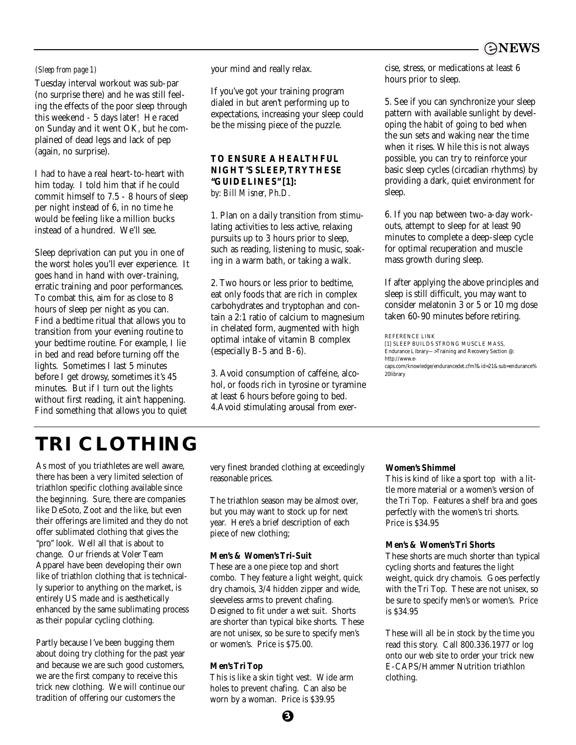

Tuesday interval workout was sub-par (no surprise there) and he was still feeling the effects of the poor sleep through this weekend - 5 days later! He raced on Sunday and it went OK, but he complained of dead legs and lack of pep (again, no surprise).

I had to have a real heart-to-heart with him today. I told him that if he could commit himself to 7.5 - 8 hours of sleep per night instead of 6, in no time he would be feeling like a million bucks instead of a hundred. We'll see.

Sleep deprivation can put you in one of the worst holes you'll ever experience. It goes hand in hand with over-training, erratic training and poor performances. To combat this, aim for as close to 8 hours of sleep per night as you can. Find a bedtime ritual that allows you to transition from your evening routine to your bedtime routine. For example, I lie in bed and read before turning off the lights. Sometimes I last 5 minutes before I get drowsy, sometimes it's 45 minutes. But if I turn out the lights without first reading, it ain't happening. Find something that allows you to quiet

*(Sleep from page 1)* your mind and really relax.

If you've got your training program dialed in but aren't performing up to expectations, increasing your sleep could be the missing piece of the puzzle.

### **TO ENSURE A HEALTHFUL NIGHT'S SLEEP, TRY THESE "GUIDELINES" [1]:** *by: Bill Misner, Ph.D.*

1. Plan on a daily transition from stimulating activities to less active, relaxing pursuits up to 3 hours prior to sleep, such as reading, listening to music, soaking in a warm bath, or taking a walk.

2. Two hours or less prior to bedtime, eat only foods that are rich in complex carbohydrates and tryptophan and contain a 2:1 ratio of calcium to magnesium in chelated form, augmented with high optimal intake of vitamin B complex (especially B-5 and B-6).

3. Avoid consumption of caffeine, alcohol, or foods rich in tyrosine or tyramine at least 6 hours before going to bed. 4.Avoid stimulating arousal from exercise, stress, or medications at least 6 hours prior to sleep.

5. See if you can synchronize your sleep pattern with available sunlight by developing the habit of going to bed when the sun sets and waking near the time when it rises. While this is not always possible, you can try to reinforce your basic sleep cycles (circadian rhythms) by providing a dark, quiet environment for sleep.

6. If you nap between two-a-day workouts, attempt to sleep for at least 90 minutes to complete a deep-sleep cycle for optimal recuperation and muscle mass growth during sleep.

If after applying the above principles and sleep is still difficult, you may want to consider melatonin 3 or 5 or 10 mg dose taken 60-90 minutes before retiring.

REFERENCE LINK

## **TRI CLOTHING**

As most of you triathletes are well aware, there has been a very limited selection of triathlon specific clothing available since the beginning. Sure, there are companies like DeSoto, Zoot and the like, but even their offerings are limited and they do not offer sublimated clothing that gives the "pro" look. Well all that is about to change. Our friends at Voler Team Apparel have been developing their own like of triathlon clothing that is technically superior to anything on the market, is entirely US made and is aesthetically enhanced by the same sublimating process as their popular cycling clothing.

Partly because I've been bugging them about doing try clothing for the past year and because we are such good customers, we are the first company to receive this trick new clothing. We will continue our tradition of offering our customers the

very finest branded clothing at exceedingly reasonable prices.

The triathlon season may be almost over, but you may want to stock up for next year. Here's a brief description of each piece of new clothing;

### **Men's & Women's Tri-Suit**

These are a one piece top and short combo. They feature a light weight, quick dry chamois, 3/4 hidden zipper and wide, sleeveless arms to prevent chafing. Designed to fit under a wet suit. Shorts are shorter than typical bike shorts. These are not unisex, so be sure to specify men's or women's. Price is \$75.00.

### **Men's Tri Top**

This is like a skin tight vest. Wide arm holes to prevent chafing. Can also be worn by a woman. Price is \$39.95

### **Women's Shimmel**

This is kind of like a sport top with a little more material or a women's version of the Tri Top. Features a shelf bra and goes perfectly with the women's tri shorts. Price is \$34.95

### **Men's & Women's Tri Shorts**

These shorts are much shorter than typical cycling shorts and features the light weight, quick dry chamois. Goes perfectly with the Tri Top. These are not unisex, so be sure to specify men's or women's. Price is \$34.95

These will all be in stock by the time you read this story. Call 800.336.1977 or log onto our web site to order your trick new E-CAPS/Hammer Nutrition triathlon clothing.

<sup>[1]</sup> SLEEP BUILDS STRONG MUSCLE MASS, Endurance Library—>Training and Recovery Section @: http://www.ecaps.com/knowledge/endurancedet.cfm?&id=21&sub=endurance% 20library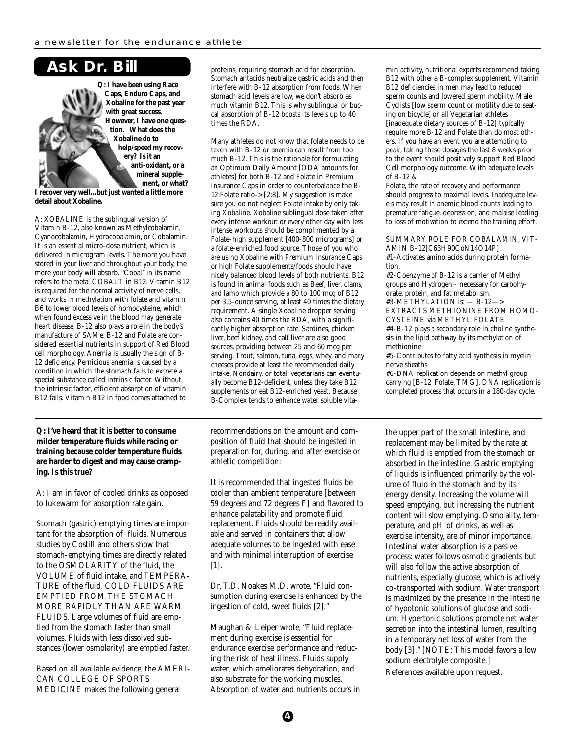### **Ask Dr. Bill**



**Q: I have been using Race Caps, Enduro Caps, and Xobaline for the past year with great success. However, I have one question. What does the Xobaline do to help/speed my recovery? Is it an anti-oxidant, or a mineral supplement, or what?**

**I recover very well...but just wanted a little more detail about Xobaline.**

A: XOBALINE is the sublingual version of Vitamin B-12, also known as Methylcobalamin, Cyanocobalamin, Hydrocobalamin, or Cobalamin. It is an essential micro-dose nutrient, which is delivered in microgram levels. The more you have stored in your liver and throughout your body, the more your body will absorb. "Cobal" in its name refers to the metal COBALT in B12. Vitamin B12 is required for the normal activity of nerve cells, and works in methylation with folate and vitamin B6 to lower blood levels of homocysteine, which when found excessive in the blood may generate heart disease. B-12 also plays a role in the body's manufacture of SAMe. B-12 and Folate are considered essential nutrients in support of Red Blood cell morphology. Anemia is usually the sign of B-12 deficiency. Pernicious anemia is caused by a condition in which the stomach fails to excrete a special substance called intrinsic factor. Without the intrinsic factor, efficient absorption of vitamin B12 fails. Vitamin B12 in food comes attached to

**Q: I've heard that it is better to consume milder temperature fluids while racing or training because colder temperature fluids are harder to digest and may cause cramping. Is this true?**

A: I am in favor of cooled drinks as opposed to lukewarm for absorption rate gain.

Stomach (gastric) emptying times are important for the absorption of fluids. Numerous studies by Costill and others show that stomach-emptying times are directly related to the OSMOLARITY of the fluid, the VOLUME of fluid intake, and TEMPERA-TURE of the fluid. COLD FLUIDS ARE EMPTIED FROM THE STOMACH MORE RAPIDLY THAN ARE WARM FLUIDS. Large volumes of fluid are emptied from the stomach faster than small volumes. Fluids with less dissolved substances (lower osmolarity) are emptied faster.

Based on all available evidence, the AMERI-CAN COLLEGE OF SPORTS MEDICINE makes the following general

proteins, requiring stomach acid for absorption. Stomach antacids neutralize gastric acids and then interfere with B-12 absorption from foods. When stomach acid levels are low, we don't absorb as much vitamin B12. This is why sublingual or buccal absorption of B-12 boosts its levels up to 40 times the RDA.

Many athletes do not know that folate needs to be taken with B-12 or anemia can result from too much B-12. This is the rationale for formulating an Optimum Daily Amount [ODA amounts for athletes] for both B-12 and Folate in Premium Insurance Caps in order to counterbalance the B-12:Folate ratio-> [2:8]. My suggestion is make sure you do not neglect Folate intake by only taking Xobaline. Xobaline sublingual dose taken after every intense workout or every other day with less intense workouts should be complimented by a Folate-high supplement [400-800 micrograms] or a folate-enriched food source. Those of you who are using Xobaline with Premium Insurance Caps or high Folate supplements/foods should have nicely balanced blood levels of both nutrients. B12 is found in animal foods such as Beef, liver, clams, and lamb which provide a 80 to 100 mcg of B12 per 3.5-ounce serving, at least 40 times the dietary requirement. A single Xobaline dropper serving also contains 40 times the RDA, with a significantly higher absorption rate. Sardines, chicken liver, beef kidney, and calf liver are also good sources, providing between 25 and 60 mcg per serving. Trout, salmon, tuna, eggs, whey, and many cheeses provide at least the recommended daily intake. Nondairy, or total, vegetarians can eventually become B12-deficient, unless they take B12 supplements or eat B12-enriched yeast. Because B-Complex tends to enhance water soluble vita-

recommendations on the amount and composition of fluid that should be ingested in preparation for, during, and after exercise or athletic competition:

It is recommended that ingested fluids be cooler than ambient temperature [between 59 degrees and 72 degrees F] and flavored to enhance palatability and promote fluid replacement. Fluids should be readily available and served in containers that allow adequate volumes to be ingested with ease and with minimal interruption of exercise [1].

Dr. T.D. Noakes M.D. wrote, "Fluid consumption during exercise is enhanced by the ingestion of cold, sweet fluids [2]."

Maughan & Leiper wrote, "Fluid replacement during exercise is essential for endurance exercise performance and reducing the risk of heat illness. Fluids supply water, which ameliorates dehydration, and also substrate for the working muscles. Absorption of water and nutrients occurs in min activity, nutritional experts recommend taking B12 with other a B-complex supplement. Vitamin B12 deficiencies in men may lead to reduced sperm counts and lowered sperm mobility. Male Cyclists [low sperm count or motility due to seating on bicycle] or all Vegetarian athletes [inadequate dietary sources of B-12] typically require more B-12 and Folate than do most others. If you have an event you are attempting to peak, taking these dosages the last 8 weeks prior to the event should positively support Red Blood Cell morphology outcome. With adequate levels of B-12 &

Folate, the rate of recovery and performance should progress to maximal levels. Inadequate levels may result in anemic blood counts leading to premature fatigue, depression, and malaise leading to loss of motivation to extend the training effort.

#### SUMMARY ROLE FOR COBALAMIN, VIT-AMIN B-12[C63H90CoN14O14P]

#1-Activates amino acids during protein formation.

#2-Coenzyme of B-12 is a carrier of Methyl groups and Hydrogen - necessary for carbohydrate, protein, and fat metabolism. #3-METHYLATION is: — B-12—>

EXTRACTS METHIONINE FROM HOMO-CYSTEINE via METHYL FOLATE

#4-B-12 plays a secondary role in choline synthesis in the lipid pathway by its methylation of methionine

#5-Contributes to fatty acid synthesis in myelin nerve sheaths

#6-DNA replication depends on methyl group carrying [B-12, Folate, TMG]. DNA replication is completed process that occurs in a 180-day cycle.

the upper part of the small intestine, and replacement may be limited by the rate at which fluid is emptied from the stomach or absorbed in the intestine. Gastric emptying of liquids is influenced primarily by the volume of fluid in the stomach and by its energy density. Increasing the volume will speed emptying, but increasing the nutrient content will slow emptying. Osmolality, temperature, and pH of drinks, as well as exercise intensity, are of minor importance. Intestinal water absorption is a passive process: water follows osmotic gradients but will also follow the active absorption of nutrients, especially glucose, which is actively co-transported with sodium. Water transport is maximized by the presence in the intestine of hypotonic solutions of glucose and sodium. Hypertonic solutions promote net water secretion into the intestinal lumen, resulting in a temporary net loss of water from the body [3]." [NOTE: This model favors a low sodium electrolyte composite.] References available upon request.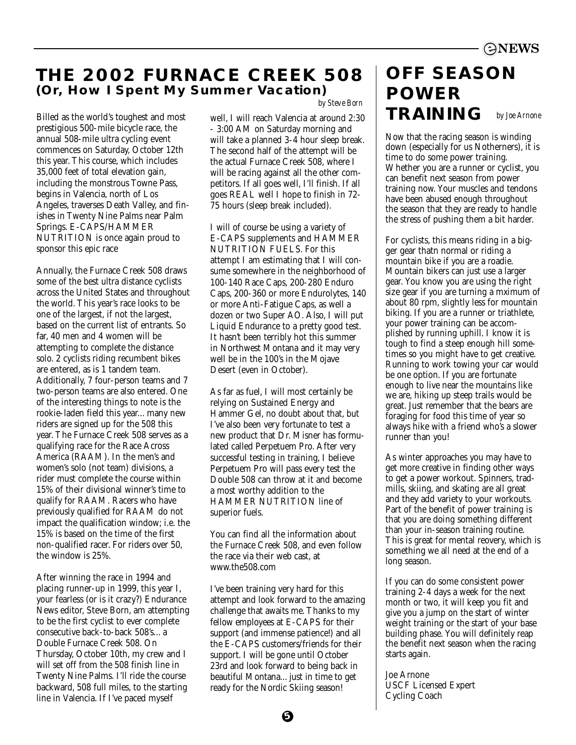### **THE 2002 FURNACE CREEK 508 (Or, How I Spent My Summer Vacation)**

Billed as the world's toughest and most prestigious 500-mile bicycle race, the annual 508-mile ultra cycling event commences on Saturday, October 12th this year. This course, which includes 35,000 feet of total elevation gain, including the monstrous Towne Pass, begins in Valencia, north of Los Angeles, traverses Death Valley, and finishes in Twenty Nine Palms near Palm Springs. E-CAPS/HAMMER NUTRITION is once again proud to sponsor this epic race

Annually, the Furnace Creek 508 draws some of the best ultra distance cyclists across the United States and throughout the world. This year's race looks to be one of the largest, if not the largest, based on the current list of entrants. So far, 40 men and 4 women will be attempting to complete the distance solo. 2 cyclists riding recumbent bikes are entered, as is 1 tandem team. Additionally, 7 four-person teams and 7 two-person teams are also entered. One of the interesting things to note is the rookie-laden field this year... many new riders are signed up for the 508 this year. The Furnace Creek 508 serves as a qualifying race for the Race Across America (RAAM). In the men's and women's solo (not team) divisions, a rider must complete the course within 15% of their divisional winner's time to qualify for RAAM. Racers who have previously qualified for RAAM do not impact the qualification window; i.e. the 15% is based on the time of the first non-qualified racer. For riders over 50, the window is 25%.

After winning the race in 1994 and placing runner-up in 1999, this year I, your fearless (or is it crazy?) Endurance News editor, Steve Born, am attempting to be the first cyclist to ever complete consecutive back-to-back 508's... a Double Furnace Creek 508. On Thursday, October 10th, my crew and I will set off from the 508 finish line in Twenty Nine Palms. I'll ride the course backward, 508 full miles, to the starting line in Valencia. If I've paced myself

*by Steve Born*

well, I will reach Valencia at around 2:30 - 3:00 AM on Saturday morning and will take a planned 3-4 hour sleep break. The second half of the attempt will be the actual Furnace Creek 508, where I will be racing against all the other competitors. If all goes well, I'll finish. If all goes REAL well I hope to finish in 72- 75 hours (sleep break included).

I will of course be using a variety of E-CAPS supplements and HAMMER NUTRITION FUELS. For this attempt I am estimating that I will consume somewhere in the neighborhood of 100-140 Race Caps, 200-280 Enduro Caps, 200-360 or more Endurolytes, 140 or more Anti-Fatigue Caps, as well a dozen or two Super AO. Also, I will put Liquid Endurance to a pretty good test. It hasn't been terribly hot this summer in Northwest Montana and it may very well be in the 100's in the Mojave Desert (even in October).

As far as fuel, I will most certainly be relying on Sustained Energy and Hammer Gel, no doubt about that, but I've also been very fortunate to test a new product that Dr. Misner has formulated called Perpetuem Pro. After very successful testing in training, I believe Perpetuem Pro will pass every test the Double 508 can throw at it and become a most worthy addition to the HAMMER NUTRITION line of superior fuels.

You can find all the information about the Furnace Creek 508, and even follow the race via their web cast, at www.the508.com

I've been training very hard for this attempt and look forward to the amazing challenge that awaits me. Thanks to my fellow employees at E-CAPS for their support (and immense patience!) and all the E-CAPS customers/friends for their support. I will be gone until October 23rd and look forward to being back in beautiful Montana... just in time to get ready for the Nordic Skiing season!

### **OFF SEASON POWER TRAINING** *by Joe Arnone*

Now that the racing season is winding down (especially for us Notherners), it is time to do some power training. Whether you are a runner or cyclist, you can benefit next season from power training now. Your muscles and tendons have been abused enough throughout the season that they are ready to handle the stress of pushing them a bit harder.

For cyclists, this means riding in a bigger gear thatn normal or riding a mountain bike if you are a roadie. Mountain bikers can just use a larger gear. You know you are using the right size gear if you are turning a mximum of about 80 rpm, slightly less for mountain biking. If you are a runner or triathlete, your power training can be accomplished by running uphill. I know it is tough to find a steep enough hill sometimes so you might have to get creative. Running to work towing your car would be one option. If you are fortunate enough to live near the mountains like we are, hiking up steep trails would be great. Just remember that the bears are foraging for food this time of year so always hike with a friend who's a slower runner than you!

As winter approaches you may have to get more creative in finding other ways to get a power workout. Spinners, tradmills, skiing, and skating are all great and they add variety to your workouts. Part of the benefit of power training is that you are doing something different than your in-season training routine. This is great for mental reovery, which is something we all need at the end of a long season.

If you can do some consistent power training 2-4 days a week for the next month or two, it will keep you fit and give you a jump on the start of winter weight training or the start of your base building phase. You will definitely reap the benefit next season when the racing starts again.

Joe Arnone USCF Licensed Expert Cycling Coach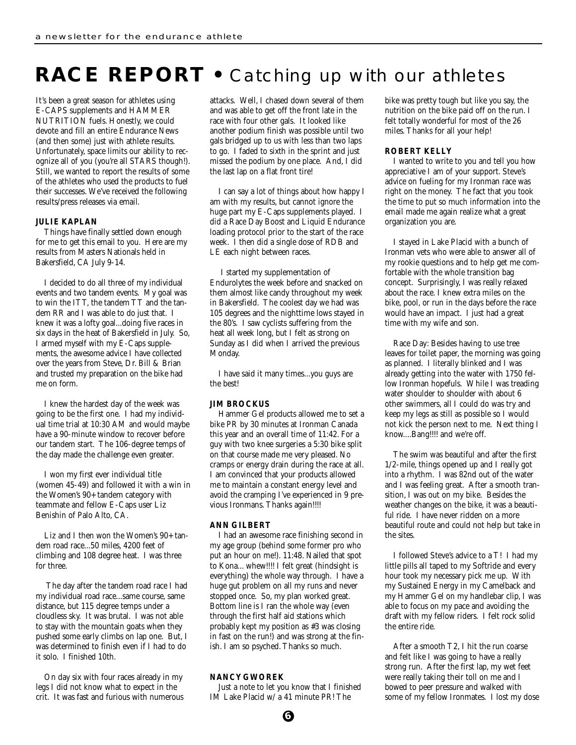## **RACE REPORT •** Catching up with our athletes

It's been a great season for athletes using E-CAPS supplements and HAMMER NUTRITION fuels. Honestly, we could devote and fill an entire Endurance News (and then some) just with athlete results. Unfortunately, space limits our ability to recognize all of you (you're all STARS though!). Still, we wanted to report the results of some of the athletes who used the products to fuel their successes. We've received the following results/press releases via email.

#### **JULIE KAPLAN**

Things have finally settled down enough for me to get this email to you. Here are my results from Masters Nationals held in Bakersfield, CA July 9-14.

I decided to do all three of my individual events and two tandem events. My goal was to win the ITT, the tandem TT and the tandem RR and I was able to do just that. I knew it was a lofty goal...doing five races in six days in the heat of Bakersfield in July. So, I armed myself with my E-Caps supplements, the awesome advice I have collected over the years from Steve, Dr. Bill & Brian and trusted my preparation on the bike had me on form.

I knew the hardest day of the week was going to be the first one. I had my individual time trial at 10:30 AM and would maybe have a 90-minute window to recover before our tandem start. The 106-degree temps of the day made the challenge even greater.

I won my first ever individual title (women 45-49) and followed it with a win in the Women's 90+ tandem category with teammate and fellow E-Caps user Liz Benishin of Palo Alto, CA.

Liz and I then won the Women's 90+ tandem road race...50 miles, 4200 feet of climbing and 108 degree heat. I was three for three.

The day after the tandem road race I had my individual road race...same course, same distance, but 115 degree temps under a cloudless sky. It was brutal. I was not able to stay with the mountain goats when they pushed some early climbs on lap one. But, I was determined to finish even if I had to do it solo. I finished 10th.

On day six with four races already in my legs I did not know what to expect in the crit. It was fast and furious with numerous attacks. Well, I chased down several of them and was able to get off the front late in the race with four other gals. It looked like another podium finish was possible until two gals bridged up to us with less than two laps to go. I faded to sixth in the sprint and just missed the podium by one place. And, I did the last lap on a flat front tire!

I can say a lot of things about how happy I am with my results, but cannot ignore the huge part my E-Caps supplements played. I did a Race Day Boost and Liquid Endurance loading protocol prior to the start of the race week. I then did a single dose of RDB and LE each night between races.

I started my supplementation of Endurolytes the week before and snacked on them almost like candy throughout my week in Bakersfield. The coolest day we had was 105 degrees and the nighttime lows stayed in the 80's. I saw cyclists suffering from the heat all week long, but I felt as strong on Sunday as I did when I arrived the previous Monday.

I have said it many times...you guys are the best!

#### **JIM BROCKUS**

Hammer Gel products allowed me to set a bike PR by 30 minutes at Ironman Canada this year and an overall time of 11:42. For a guy with two knee surgeries a 5:30 bike split on that course made me very pleased. No cramps or energy drain during the race at all. I am convinced that your products allowed me to maintain a constant energy level and avoid the cramping I've experienced in 9 previous Ironmans. Thanks again!!!!

#### **ANN GILBERT**

I had an awesome race finishing second in my age group (behind some former pro who put an hour on me!). 11:48. Nailed that spot to Kona... whew!!!! I felt great (hindsight is everything) the whole way through. I have a huge gut problem on all my runs and never stopped once. So, my plan worked great. Bottom line is I ran the whole way (even through the first half aid stations which probably kept my position as #3 was closing in fast on the run!) and was strong at the finish. I am so psyched. Thanks so much.

### **NANCY GWOREK**

Just a note to let you know that I finished IM Lake Placid w/ a 41 minute PR! The

bike was pretty tough but like you say, the nutrition on the bike paid off on the run. I felt totally wonderful for most of the 26 miles. Thanks for all your help!

#### **ROBERT KELLY**

I wanted to write to you and tell you how appreciative I am of your support. Steve's advice on fueling for my Ironman race was right on the money. The fact that you took the time to put so much information into the email made me again realize what a great organization you are.

I stayed in Lake Placid with a bunch of Ironman vets who were able to answer all of my rookie questions and to help get me comfortable with the whole transition bag concept. Surprisingly, I was really relaxed about the race. I knew extra miles on the bike, pool, or run in the days before the race would have an impact. I just had a great time with my wife and son.

Race Day: Besides having to use tree leaves for toilet paper, the morning was going as planned. I literally blinked and I was already getting into the water with 1750 fellow Ironman hopefuls. While I was treading water shoulder to shoulder with about 6 other swimmers, all I could do was try and keep my legs as still as possible so I would not kick the person next to me. Next thing I know....Bang!!!! and we're off.

The swim was beautiful and after the first 1/2-mile, things opened up and I really got into a rhythm. I was 82nd out of the water and I was feeling great. After a smooth transition, I was out on my bike. Besides the weather changes on the bike, it was a beautiful ride. I have never ridden on a more beautiful route and could not help but take in the sites.

I followed Steve's advice to a T! I had my little pills all taped to my Softride and every hour took my necessary pick me up. With my Sustained Energy in my Camelback and my Hammer Gel on my handlebar clip, I was able to focus on my pace and avoiding the draft with my fellow riders. I felt rock solid the entire ride.

After a smooth T2, I hit the run coarse and felt like I was going to have a really strong run. After the first lap, my wet feet were really taking their toll on me and I bowed to peer pressure and walked with some of my fellow Ironmates. I lost my dose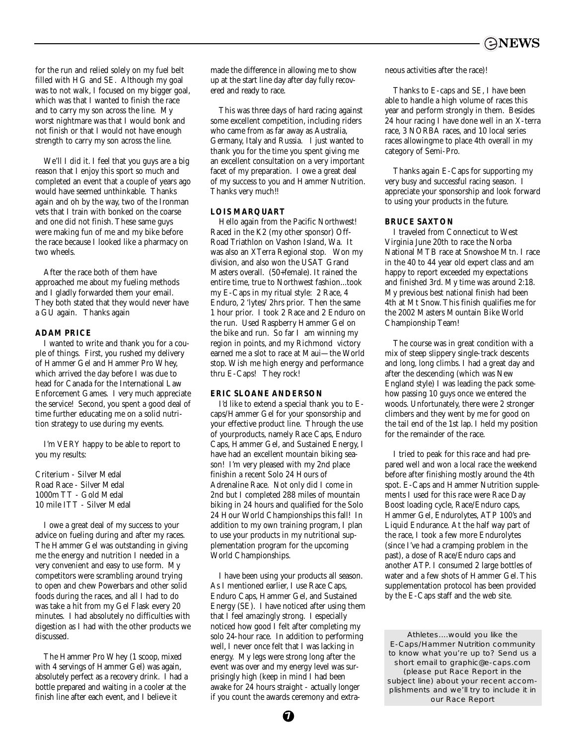

for the run and relied solely on my fuel belt filled with HG and SE. Although my goal was to not walk, I focused on my bigger goal, which was that I wanted to finish the race and to carry my son across the line. My worst nightmare was that I would bonk and not finish or that I would not have enough strength to carry my son across the line.

We'll I did it. I feel that you guys are a big reason that I enjoy this sport so much and completed an event that a couple of years ago would have seemed unthinkable. Thanks again and oh by the way, two of the Ironman vets that I train with bonked on the coarse and one did not finish. These same guys were making fun of me and my bike before the race because I looked like a pharmacy on two wheels.

After the race both of them have approached me about my fueling methods and I gladly forwarded them your email. They both stated that they would never have a GU again. Thanks again

#### **ADAM PRICE**

I wanted to write and thank you for a couple of things. First, you rushed my delivery of Hammer Gel and Hammer Pro Whey, which arrived the day before I was due to head for Canada for the International Law Enforcement Games. I very much appreciate the service! Second, you spent a good deal of time further educating me on a solid nutrition strategy to use during my events.

I'm VERY happy to be able to report to you my results:

Criterium - Silver Medal Road Race - Silver Medal 1000m TT - Gold Medal 10 mile ITT - Silver Medal

I owe a great deal of my success to your advice on fueling during and after my races. The Hammer Gel was outstanding in giving me the energy and nutrition I needed in a very convenient and easy to use form. My competitors were scrambling around trying to open and chew Powerbars and other solid foods during the races, and all I had to do was take a hit from my Gel Flask every 20 minutes. I had absolutely no difficulties with digestion as I had with the other products we discussed.

The Hammer Pro Whey (1 scoop, mixed with 4 servings of Hammer Gel) was again, absolutely perfect as a recovery drink. I had a bottle prepared and waiting in a cooler at the finish line after each event, and I believe it

made the difference in allowing me to show up at the start line day after day fully recovered and ready to race.

This was three days of hard racing against some excellent competition, including riders who came from as far away as Australia, Germany, Italy and Russia. I just wanted to thank you for the time you spent giving me an excellent consultation on a very important facet of my preparation. I owe a great deal of my success to you and Hammer Nutrition. Thanks very much!!

#### **LOIS MARQUART**

Hello again from the Pacific Northwest! Raced in the K2 (my other sponsor) Off-Road Triathlon on Vashon Island, Wa. It was also an XTerra Regional stop. Won my division, and also won the USAT Grand Masters overall. (50+female). It rained the entire time, true to Northwest fashion...took my E-Caps in my ritual style: 2 Race, 4 Enduro, 2 'lytes/ 2hrs prior. Then the same 1 hour prior. I took 2 Race and 2 Enduro on the run. Used Raspberry Hammer Gel on the bike and run. So far I am winning my region in points, and my Richmond victory earned me a slot to race at Maui—the World stop. Wish me high energy and performance thru E-Caps! They rock!

### **ERIC SLOANE ANDERSON**

I'd like to extend a special thank you to Ecaps/Hammer Gel for your sponsorship and your effective product line. Through the use of yourproducts, namely Race Caps, Enduro Caps, Hammer Gel, and Sustained Energy, I have had an excellent mountain biking season! I'm very pleased with my 2nd place finishin a recent Solo 24 Hours of Adrenaline Race. Not only did I come in 2nd but I completed 288 miles of mountain biking in 24 hours and qualified for the Solo 24 Hour World Championships this fall! In addition to my own training program, I plan to use your products in my nutritional supplementation program for the upcoming World Championships.

I have been using your products all season. As I mentioned earlier, I use Race Caps, Enduro Caps, Hammer Gel, and Sustained Energy (SE). I have noticed after using them that I feel amazingly strong. I especially noticed how good I felt after completing my solo 24-hour race. In addition to performing well, I never once felt that I was lacking in energy. My legs were strong long after the event was over and my energy level was surprisingly high (keep in mind I had been awake for 24 hours straight - actually longer if you count the awards ceremony and extraneous activities after the race)!

Thanks to E-caps and SE, I have been able to handle a high volume of races this year and perform strongly in them. Besides 24 hour racing I have done well in an X-terra race, 3 NORBA races, and 10 local series races allowingme to place 4th overall in my category of Semi-Pro.

Thanks again E-Caps for supporting my very busy and successful racing season. I appreciate your sponsorship and look forward to using your products in the future.

#### **BRUCE SAXTON**

I traveled from Connecticut to West Virginia June 20th to race the Norba National MTB race at Snowshoe Mtn. I race in the 40 to 44 year old expert class and am happy to report exceeded my expectations and finished 3rd. My time was around 2:18. My previous best national finish had been 4th at Mt Snow. This finish qualifies me for the 2002 Masters Mountain Bike World Championship Team!

The course was in great condition with a mix of steep slippery single-track descents and long, long climbs. I had a great day and after the descending (which was New England style) I was leading the pack somehow passing 10 guys once we entered the woods. Unfortunately, there were 2 stronger climbers and they went by me for good on the tail end of the 1st lap. I held my position for the remainder of the race.

I tried to peak for this race and had prepared well and won a local race the weekend before after finishing mostly around the 4th spot. E-Caps and Hammer Nutrition supplements I used for this race were Race Day Boost loading cycle, Race/Enduro caps, Hammer Gel, Endurolytes, ATP 100's and Liquid Endurance. At the half way part of the race, I took a few more Endurolytes (since I've had a cramping problem in the past), a dose of Race/Enduro caps and another ATP. I consumed 2 large bottles of water and a few shots of Hammer Gel. This supplementation protocol has been provided by the E-Caps staff and the web site.

Athletes....would you like the E-Caps/Hammer Nutrition community to know what you're up to? Send us a short email to graphic@e-caps.com *(please put Race Report in the subject line)* about your recent accomplishments and we'll try to include it in our Race Report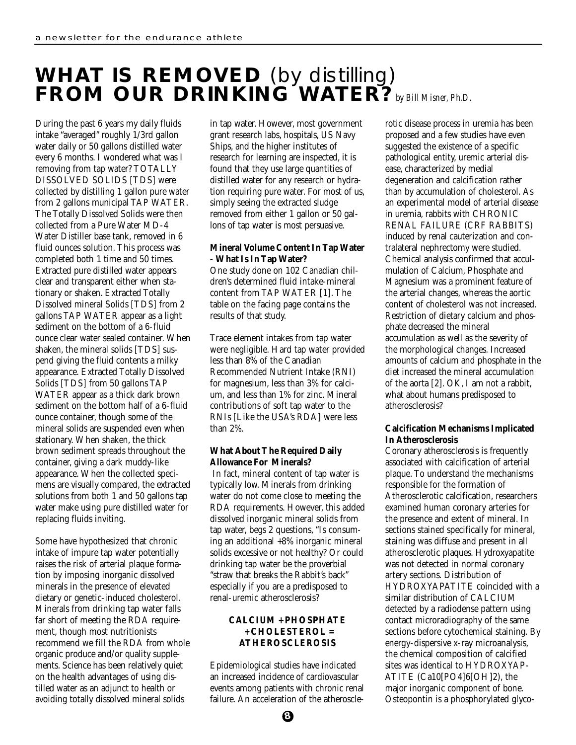# **WHAT IS REMOVED** *(by distilling)* **FROM OUR DRINKING WATER?***by Bill Misner, Ph.D.*

During the past 6 years my daily fluids intake "averaged" roughly 1/3rd gallon water daily or 50 gallons distilled water every 6 months. I wondered what was I removing from tap water? TOTALLY DISSOLVED SOLIDS [TDS] were collected by distilling 1 gallon pure water from 2 gallons municipal TAP WATER. The Totally Dissolved Solids were then collected from a Pure Water MD-4 Water Distiller base tank, removed in 6 fluid ounces solution. This process was completed both 1 time and 50 times. Extracted pure distilled water appears clear and transparent either when stationary or shaken. Extracted Totally Dissolved mineral Solids [TDS] from 2 gallons TAP WATER appear as a light sediment on the bottom of a 6-fluid ounce clear water sealed container. When shaken, the mineral solids [TDS] suspend giving the fluid contents a milky appearance. Extracted Totally Dissolved Solids [TDS] from 50 gallons TAP WATER appear as a thick dark brown sediment on the bottom half of a 6-fluid ounce container, though some of the mineral solids are suspended even when stationary. When shaken, the thick brown sediment spreads throughout the container, giving a dark muddy-like appearance. When the collected specimens are visually compared, the extracted solutions from both 1 and 50 gallons tap water make using pure distilled water for replacing fluids inviting.

Some have hypothesized that chronic intake of impure tap water potentially raises the risk of arterial plaque formation by imposing inorganic dissolved minerals in the presence of elevated dietary or genetic-induced cholesterol. Minerals from drinking tap water falls far short of meeting the RDA requirement, though most nutritionists recommend we fill the RDA from whole organic produce and/or quality supplements. Science has been relatively quiet on the health advantages of using distilled water as an adjunct to health or avoiding totally dissolved mineral solids

in tap water. However, most government grant research labs, hospitals, US Navy Ships, and the higher institutes of research for learning are inspected, it is found that they use large quantities of distilled water for any research or hydration requiring pure water. For most of us, simply seeing the extracted sludge removed from either 1 gallon or 50 gallons of tap water is most persuasive.

### **Mineral Volume Content In Tap Water - What Is In Tap Water?**

One study done on 102 Canadian children's determined fluid intake-mineral content from TAP WATER [1]. The table on the facing page contains the results of that study.

Trace element intakes from tap water were negligible. Hard tap water provided less than 8% of the Canadian Recommended Nutrient Intake (RNI) for magnesium, less than 3% for calcium, and less than 1% for zinc. Mineral contributions of soft tap water to the RNIs [Like the USA's RDA] were less than 2%.

### **What About The Required Daily Allowance For Minerals?**

In fact, mineral content of tap water is typically low. Minerals from drinking water do not come close to meeting the RDA requirements. However, this added dissolved inorganic mineral solids from tap water, begs 2 questions, "Is consuming an additional +8% inorganic mineral solids excessive or not healthy? Or could drinking tap water be the proverbial "straw that breaks the Rabbit's back" especially if you are a predisposed to renal-uremic atherosclerosis?

### **CALCIUM + PHOSPHATE + CHOLESTEROL = ATHEROSCLEROSIS**

Epidemiological studies have indicated an increased incidence of cardiovascular events among patients with chronic renal failure. An acceleration of the atherosclerotic disease process in uremia has been proposed and a few studies have even suggested the existence of a specific pathological entity, uremic arterial disease, characterized by medial degeneration and calcification rather than by accumulation of cholesterol. As an experimental model of arterial disease in uremia, rabbits with CHRONIC RENAL FAILURE (CRF RABBITS) induced by renal cauterization and contralateral nephrectomy were studied. Chemical analysis confirmed that acculmulation of Calcium, Phosphate and Magnesium was a prominent feature of the arterial changes, whereas the aortic content of cholesterol was not increased. Restriction of dietary calcium and phosphate decreased the mineral accumulation as well as the severity of the morphological changes. Increased amounts of calcium and phosphate in the diet increased the mineral accumulation of the aorta [2]. OK, I am not a rabbit, what about humans predisposed to atherosclerosis?

### **Calcification Mechanisms Implicated In Atherosclerosis**

Coronary atherosclerosis is frequently associated with calcification of arterial plaque. To understand the mechanisms responsible for the formation of Atherosclerotic calcification, researchers examined human coronary arteries for the presence and extent of mineral. In sections stained specifically for mineral, staining was diffuse and present in all atherosclerotic plaques. Hydroxyapatite was not detected in normal coronary artery sections. Distribution of HYDROXYAPATITE coincided with a similar distribution of CALCIUM detected by a radiodense pattern using contact microradiography of the same sections before cytochemical staining. By energy-dispersive x-ray microanalysis, the chemical composition of calcified sites was identical to HYDROXYAP-ATITE (Ca10[PO4]6[OH]2), the major inorganic component of bone. Osteopontin is a phosphorylated glyco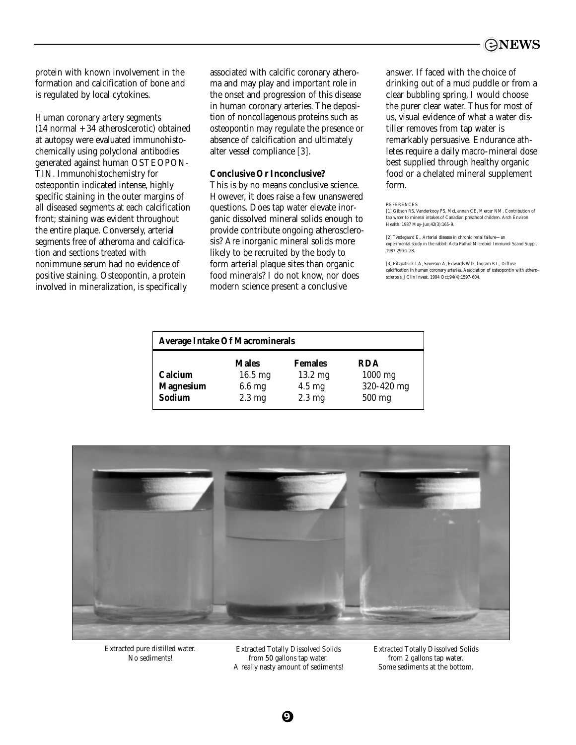protein with known involvement in the formation and calcification of bone and is regulated by local cytokines.

Human coronary artery segments (14 normal + 34 atheroslcerotic) obtained at autopsy were evaluated immunohistochemically using polyclonal antibodies generated against human OSTEOPON-TIN. Immunohistochemistry for osteopontin indicated intense, highly specific staining in the outer margins of all diseased segments at each calcification front; staining was evident throughout the entire plaque. Conversely, arterial segments free of atheroma and calcification and sections treated with nonimmune serum had no evidence of positive staining. Osteopontin, a protein involved in mineralization, is specifically

associated with calcific coronary atheroma and may play and important role in the onset and progression of this disease in human coronary arteries. The deposition of noncollagenous proteins such as osteopontin may regulate the presence or absence of calcification and ultimately alter vessel compliance [3].

### **Conclusive Or Inconclusive?**

This is by no means conclusive science. However, it does raise a few unanswered questions. Does tap water elevate inorganic dissolved mineral solids enough to provide contribute ongoing atherosclerosis? Are inorganic mineral solids more likely to be recruited by the body to form arterial plaque sites than organic food minerals? I do not know, nor does modern science present a conclusive

answer. If faced with the choice of drinking out of a mud puddle or from a clear bubbling spring, I would choose the purer clear water. Thus for most of us, visual evidence of what a water distiller removes from tap water is remarkably persuasive. Endurance athletes require a daily macro-mineral dose best supplied through healthy organic food or a chelated mineral supplement form.

#### **REFERENCES**

[1] Gibson RS, Vanderkooy PS, McLennan CE, Mercer NM. Contribution of tp water to mineral intakes of Canadian preschool children. Arch Environ Health. 1987 May-Jun;42(3):165-9.

[2] Tvedegaard E., Arterial disease in chronic renal failure—an experimental study in the rabbit. Acta Pathol Microbiol Immunol Scand Suppl. 1987;290:1-28.

[3] Fitzpatrick LA, Severson A, Edwards WD, Ingram RT., Diffuse calcification in human coronary arteries. Association of osteopontin with atherosclerosis. J Clin Invest. 1994 Oct;94(4):1597-604.

| <b>Average Intake Of Macrominerals</b> |                  |                  |            |
|----------------------------------------|------------------|------------------|------------|
|                                        | <b>Males</b>     | <b>Females</b>   | <b>RDA</b> |
| <b>Calcium</b>                         | $16.5$ mg        | 13.2 mg          | $1000$ mg  |
| <b>Magnesium</b>                       | $6.6$ mg         | $4.5 \text{ mg}$ | 320-420 mg |
| Sodium                                 | $2.3 \text{ mg}$ | $2.3 \text{ mg}$ | 500 mg     |



Extracted pure distilled water. No sediments!

Extracted Totally Dissolved Solids from 50 gallons tap water. A really nasty amount of sediments!

**9**

Extracted Totally Dissolved Solids from 2 gallons tap water. Some sediments at the bottom.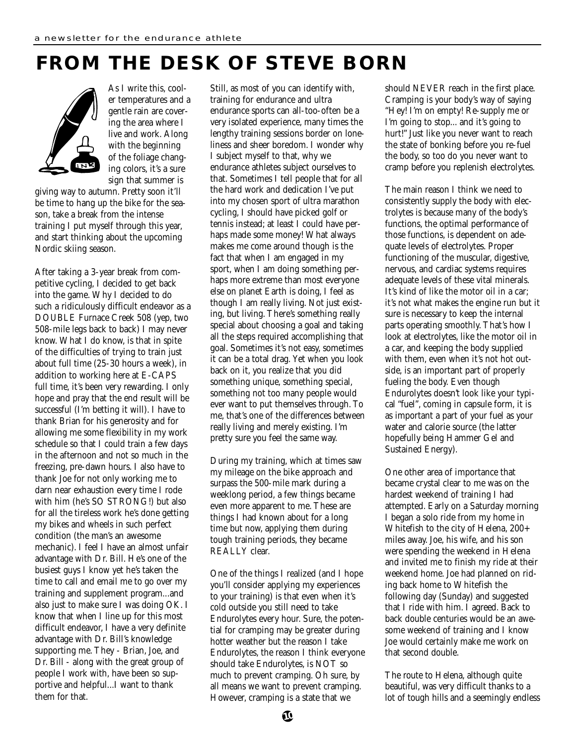# **FROM THE DESK OF STEVE BORN**



As I write this, cooler temperatures and a gentle rain are covering the area where I live and work. Along with the beginning of the foliage changing colors, it's a sure sign that summer is

giving way to autumn. Pretty soon it'll be time to hang up the bike for the season, take a break from the intense training I put myself through this year, and start thinking about the upcoming Nordic skiing season.

After taking a 3-year break from competitive cycling, I decided to get back into the game. Why I decided to do such a ridiculously difficult endeavor as a DOUBLE Furnace Creek 508 (yep, two 508-mile legs back to back) I may never know. What I do know, is that in spite of the difficulties of trying to train just about full time (25-30 hours a week), in addition to working here at E-CAPS full time, it's been very rewarding. I only hope and pray that the end result will be successful (I'm betting it will). I have to thank Brian for his generosity and for allowing me some flexibility in my work schedule so that I could train a few days in the afternoon and not so much in the freezing, pre-dawn hours. I also have to thank Joe for not only working me to darn near exhaustion every time I rode with him (he's SO STRONG!) but also for all the tireless work he's done getting my bikes and wheels in such perfect condition (the man's an awesome mechanic). I feel I have an almost unfair advantage with Dr. Bill. He's one of the busiest guys I know yet he's taken the time to call and email me to go over my training and supplement program...and also just to make sure I was doing OK. I know that when I line up for this most difficult endeavor, I have a very definite advantage with Dr. Bill's knowledge supporting me. They - Brian, Joe, and Dr. Bill - along with the great group of people I work with, have been so supportive and helpful...I want to thank them for that.

Still, as most of you can identify with, training for endurance and ultra endurance sports can all-too-often be a very isolated experience, many times the lengthy training sessions border on loneliness and sheer boredom. I wonder why I subject myself to that, why we endurance athletes subject ourselves to that. Sometimes I tell people that for all the hard work and dedication I've put into my chosen sport of ultra marathon cycling, I should have picked golf or tennis instead; at least I could have perhaps made some money! What always makes me come around though is the fact that when I am engaged in my sport, when I am doing something perhaps more extreme than most everyone else on planet Earth is doing, I feel as though I am really living. Not just existing, but living. There's something really special about choosing a goal and taking all the steps required accomplishing that goal. Sometimes it's not easy, sometimes it can be a total drag. Yet when you look back on it, you realize that you did something unique, something special, something not too many people would ever want to put themselves through. To me, that's one of the differences between really living and merely existing. I'm pretty sure you feel the same way.

During my training, which at times saw my mileage on the bike approach and surpass the 500-mile mark during a weeklong period, a few things became even more apparent to me. These are things I had known about for a long time but now, applying them during tough training periods, they became REALLY clear.

One of the things I realized (and I hope you'll consider applying my experiences to your training) is that even when it's cold outside you still need to take Endurolytes every hour. Sure, the potential for cramping may be greater during hotter weather but the reason I take Endurolytes, the reason I think everyone should take Endurolytes, is NOT so much to prevent cramping. Oh sure, by all means we want to prevent cramping. However, cramping is a state that we

should NEVER reach in the first place. Cramping is your body's way of saying "Hey! I'm on empty! Re-supply me or I'm going to stop... and it's going to hurt!" Just like you never want to reach the state of bonking before you re-fuel the body, so too do you never want to cramp before you replenish electrolytes.

The main reason I think we need to consistently supply the body with electrolytes is because many of the body's functions, the optimal performance of those functions, is dependent on adequate levels of electrolytes. Proper functioning of the muscular, digestive, nervous, and cardiac systems requires adequate levels of these vital minerals. It's kind of like the motor oil in a car; it's not what makes the engine run but it sure is necessary to keep the internal parts operating smoothly. That's how I look at electrolytes, like the motor oil in a car, and keeping the body supplied with them, even when it's not hot outside, is an important part of properly fueling the body. Even though Endurolytes doesn't look like your typical "fuel", coming in capsule form, it is as important a part of your fuel as your water and calorie source (the latter hopefully being Hammer Gel and Sustained Energy).

One other area of importance that became crystal clear to me was on the hardest weekend of training I had attempted. Early on a Saturday morning I began a solo ride from my home in Whitefish to the city of Helena, 200+ miles away. Joe, his wife, and his son were spending the weekend in Helena and invited me to finish my ride at their weekend home. Joe had planned on riding back home to Whitefish the following day (Sunday) and suggested that I ride with him. I agreed. Back to back double centuries would be an awesome weekend of training and I know Joe would certainly make me work on that second double.

The route to Helena, although quite beautiful, was very difficult thanks to a lot of tough hills and a seemingly endless

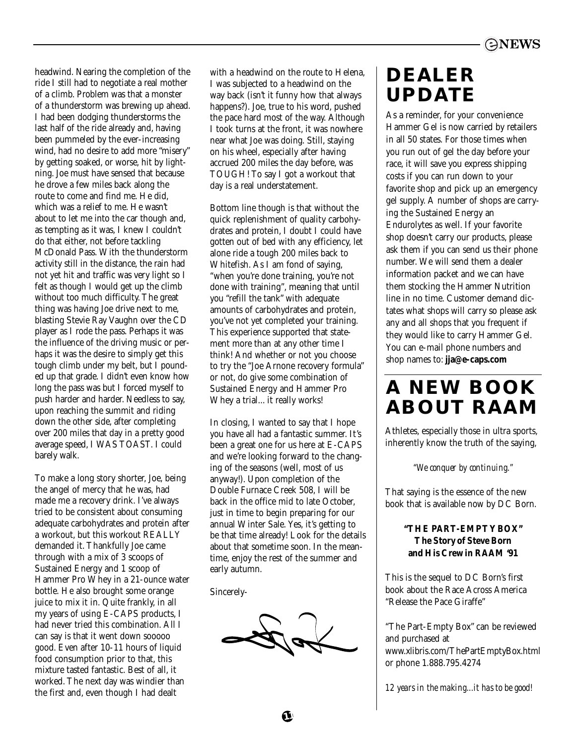headwind. Nearing the completion of the ride I still had to negotiate a real mother of a climb. Problem was that a monster of a thunderstorm was brewing up ahead. I had been dodging thunderstorms the last half of the ride already and, having been pummeled by the ever-increasing wind, had no desire to add more "misery" by getting soaked, or worse, hit by lightning. Joe must have sensed that because he drove a few miles back along the route to come and find me. He did, which was a relief to me. He wasn't about to let me into the car though and, as tempting as it was, I knew I couldn't do that either, not before tackling McDonald Pass. With the thunderstorm activity still in the distance, the rain had not yet hit and traffic was very light so I felt as though I would get up the climb without too much difficulty. The great thing was having Joe drive next to me, blasting Stevie Ray Vaughn over the CD player as I rode the pass. Perhaps it was the influence of the driving music or perhaps it was the desire to simply get this tough climb under my belt, but I pounded up that grade. I didn't even know how long the pass was but I forced myself to push harder and harder. Needless to say, upon reaching the summit and riding down the other side, after completing over 200 miles that day in a pretty good average speed, I WAS TOAST. I could barely walk.

To make a long story shorter, Joe, being the angel of mercy that he was, had made me a recovery drink. I've always tried to be consistent about consuming adequate carbohydrates and protein after a workout, but this workout REALLY demanded it. Thankfully Joe came through with a mix of 3 scoops of Sustained Energy and 1 scoop of Hammer Pro Whey in a 21-ounce water bottle. He also brought some orange juice to mix it in. Quite frankly, in all my years of using E-CAPS products, I had never tried this combination. All I can say is that it went down sooooo good. Even after 10-11 hours of liquid food consumption prior to that, this mixture tasted fantastic. Best of all, it worked. The next day was windier than the first and, even though I had dealt

with a headwind on the route to Helena, I was subjected to a headwind on the way back (isn't it funny how that always happens?). Joe, true to his word, pushed the pace hard most of the way. Although I took turns at the front, it was nowhere near what Joe was doing. Still, staying on his wheel, especially after having accrued 200 miles the day before, was TOUGH! To say I got a workout that day is a real understatement.

Bottom line though is that without the quick replenishment of quality carbohydrates and protein, I doubt I could have gotten out of bed with any efficiency, let alone ride a tough 200 miles back to Whitefish. As I am fond of saying, "when you're done training, you're not done with training", meaning that until you "refill the tank" with adequate amounts of carbohydrates and protein, you've not yet completed your training. This experience supported that statement more than at any other time I think! And whether or not you choose to try the "Joe Arnone recovery formula" or not, do give some combination of Sustained Energy and Hammer Pro Whey a trial... it really works!

In closing, I wanted to say that I hope you have all had a fantastic summer. It's been a great one for us here at E-CAPS and we're looking forward to the changing of the seasons (well, most of us anyway!). Upon completion of the Double Furnace Creek 508, I will be back in the office mid to late October, just in time to begin preparing for our annual Winter Sale. Yes, it's getting to be that time already! Look for the details about that sometime soon. In the meantime, enjoy the rest of the summer and early autumn.

Sincerely-

### **DEALER UPDATE**

As a reminder, for your convenience Hammer Gel is now carried by retailers in all 50 states. For those times when you run out of gel the day before your race, it will save you express shipping costs if you can run down to your favorite shop and pick up an emergency gel supply. A number of shops are carrying the Sustained Energy an Endurolytes as well. If your favorite shop doesn't carry our products, please ask them if you can send us their phone number. We will send them a dealer information packet and we can have them stocking the Hammer Nutrition line in no time. Customer demand dictates what shops will carry so please ask any and all shops that you frequent if they would like to carry Hammer Gel. You can e-mail phone numbers and shop names to: **jja@e-caps.com**

### **A NEW BOOK ABOUT RAAM**

Athletes, especially those in ultra sports, inherently know the truth of the saying,

*"We conquer by continuing."*

That saying is the essence of the new book that is available now by DC Born.

### **"THE PART-EMPTY BOX" The Story of Steve Born and His Crew in RAAM '91**

This is the sequel to DC Born's first book about the Race Across America "Release the Pace Giraffe"

"The Part-Empty Box" can be reviewed and purchased at www.xlibris.com/ThePartEmptyBox.html or phone 1.888.795.4274

*12 years in the making...it has to be good!*